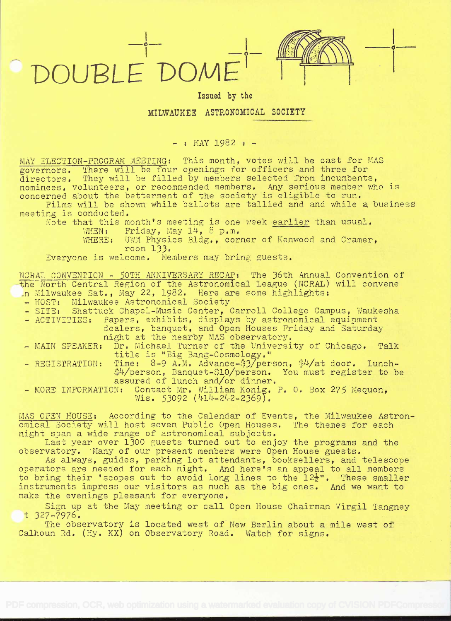DOUBLE DOME

**o** <u>the contract of the contract of the contract of the contract of the contract of the contract of the contract of the contract of the contract of the contract of the contract of the contract of the contract of the contr</u>

## Issued by the

## MILWAUKEE ASTRONOMICAL SOCIETY

 $-$  : MAY 1982 :  $-$ 

MAY ELECTION-PROGRAM MEETING: This month, votes will be cast for MAS governors. There will be four openings for officers and three for governors. There will be four openings for officers and three for spectrum incumbents, nominees, volunteers, or recommended members. Any serious member who is nominees, volunteers, of recommended members. Any scribus member who

Films will be shown while ballots are tallied and and while a business meeting is conducted.

Note that this month's meeting is one week earlier than usual.<br>WHEN: Friday. May 14. 8 p.m. WHEN: Friday, May  $14$ , 8 p.m.

WHERE: UWM Physics Bldg., corner of Kenwood and Cramer, room 133.

Everyone is welcome. Members may bring guests.

NCRAL CONVENTION - 50TH ANNIVERSARY RECAP: The 36th Annual Convention of -the North Central Region of the Astronomical League (NCRAL) will convene

- In Milwaukee Sat., May 22, 1982. Here are some highlights:<br>- HOST: Milwaukee Astronomical Society<br>- SITE: Shattuck Chapel-Music Center, Carroll College Campus, Waukesha<br>- ACTIVITIES: Papers, exhibits, displays by astronomi
- \* MAIN SPEAKER: Dr. Michael Turner of the University of Chicago. Talk title is "Big Bang-Cosmology.' REGISTRATION: Time: 8-9 A.M. Advance-;3/person, &i/at door. Lunch-

\$4/person, Banquet-\$10/person. You must register to be assured of lunch and/or dinner.

- MORE INFORMATION: Contact Mr. William Konig, P. 0. Box 275 Mequon, Wis. 53092 (414-242-2369).

MAS OPEN HOUSE: According to the Calendar of Events, the Milwaukee Astronomical Society will host seven Public Open Houses. The themes for each night span a wide range of astronomical subjects. night span a wide range of astronomical subjects. Last year over 1300 guests turned out to enjoy the programs and the

observatory. Many of our present members were Open House guests.

As always, guides, parking lot attendants, booksellers, and telescope operators are needed for each night. And here's an appeal to all members to bring their 'scopes out to avoid long lines to the  $12\frac{1}{2}$ ". These smaller instruments impress our visitors as much as the big ones. And we want to make the evenings pleasant for everyone.

Sign up at the May meeting or call Open House Chairman Virgil Tangney<br>t 327-7976.

The observatory is located west of New Berlin about a mile west of Calhoun Rd. (Hy. KX) on Observatory Road. Watch for signs.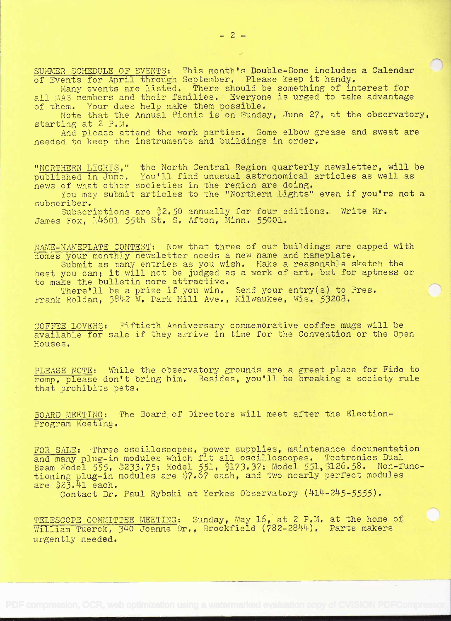SUMMER SCHEDULE OF EVENTS: This month's Double-Dome includes a Calendar of Events for April through September. Please keep it handy.

Many events are listed. There should be something of interest for<br>all MAS members and their families. Everyone is urged to take advantage<br>of them. Your dues help make them possible.<br>Note that the Annual Picnic is on Sunday

And please attend the work parties. Some elbow grease and sweat are needed to keep the instruments and buildings in order,

"NORTHERN LIGHTS," the North Central Region quarterly newsletter, will be published in June. You'll find unusual astronomical articles as well as news of what other societies in the region are doing.

You may submit articles to the "Northern Lights" even if you're not a subscriber.

Subscriptions are  $2.50$  annually for four editions. Write Mr. James Fox,  $14601$  55th St. S. Afton, Minn. 55001.

NAME-NAMEPLATE CONTEST: Now that three of our buildings are capped with<br>domes your monthly newsletter needs a new name and nameplate. Submit as many entries as you wish. Make a reasonable sketch the

best you can; it will not be judged as a work of art, but for aptness or to make the bulletin more attractive.

There'll be a prize if you win. Send your entry(s) to Pres. Frank Roldan, 382 W. Park Hill Ave., Milwaukee, Wis. 53208.

COFFEE LOVERS: Fiftieth Anniversary commemorative coffee mugs will be available for sale if they arrive in time for the Convention or the Open Houses.

PLEASE NOTE: While the observatory grounds are a great place for Fido to romp, please don't bring him. Besides, you'll be breaking a society rule that prohibits pets.

BOARD MEETING: The Board. of Directors will meet after the Election-Program Meeting.

FOR SALE: Three oscilloscopes, power supplies, maintenance documentation and many plug-in modules which fit all oscilloscopes. Tectronics Dual and many prug-in modules which ite air oscilloscopes.<br>Beam Model 555, \$233.75; Model 551, \$173.37; Model 551,\$126.58. Non-functioning plug-in modules are \$7.67 each, and two nearly perfect modules are  $323.41$  each.

Contact Dr. Paul Rybski at Yerkes Observatory (414-245-5555).

TELESCOPE COMMITTEE MEETING: Sunday, May 16, at 2 P.M. at the home of William Tuerck, 340 Joanne Dr., Brookfield (782-2844). Parts makers urgently needed.